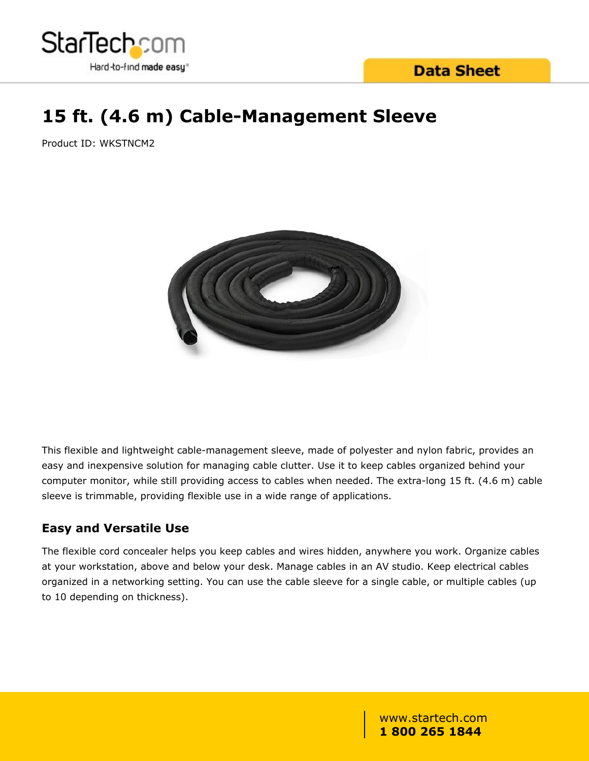

# **Data Sheet**

# **15 ft. (4.6 m) Cable-Management Sleeve**

Product ID: WKSTNCM2



This flexible and lightweight cable-management sleeve, made of polyester and nylon fabric, provides an easy and inexpensive solution for managing cable clutter. Use it to keep cables organized behind your computer monitor, while still providing access to cables when needed. The extra-long 15 ft. (4.6 m) cable sleeve is trimmable, providing flexible use in a wide range of applications.

### **Easy and Versatile Use**

The flexible cord concealer helps you keep cables and wires hidden, anywhere you work. Organize cables at your workstation, above and below your desk. Manage cables in an AV studio. Keep electrical cables organized in a networking setting. You can use the cable sleeve for a single cable, or multiple cables (up to 10 depending on thickness).

> www.startech.com **1 800 265 1844**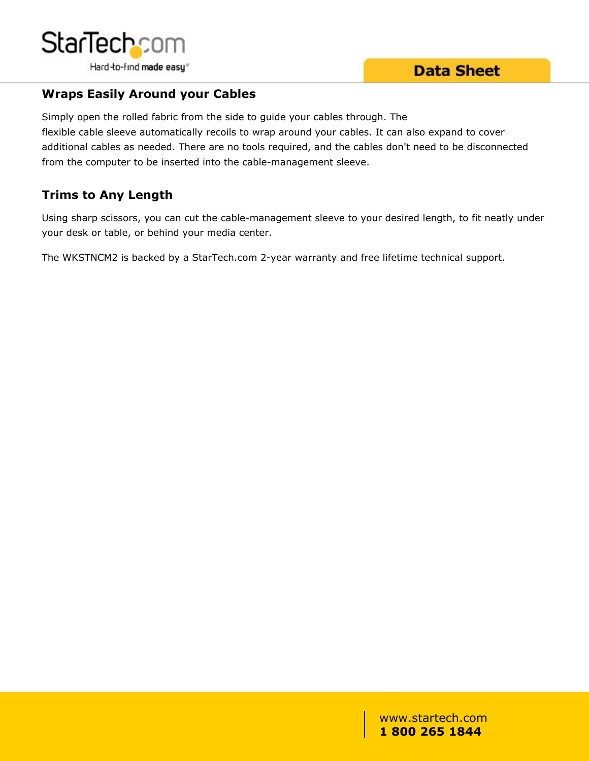

### **Wraps Easily Around your Cables**

Simply open the rolled fabric from the side to guide your cables through. The flexible cable sleeve automatically recoils to wrap around your cables. It can also expand to cover additional cables as needed. There are no tools required, and the cables don't need to be disconnected from the computer to be inserted into the cable-management sleeve.

## **Trims to Any Length**

Using sharp scissors, you can cut the cable-management sleeve to your desired length, to fit neatly under your desk or table, or behind your media center.

The WKSTNCM2 is backed by a StarTech.com 2-year warranty and free lifetime technical support.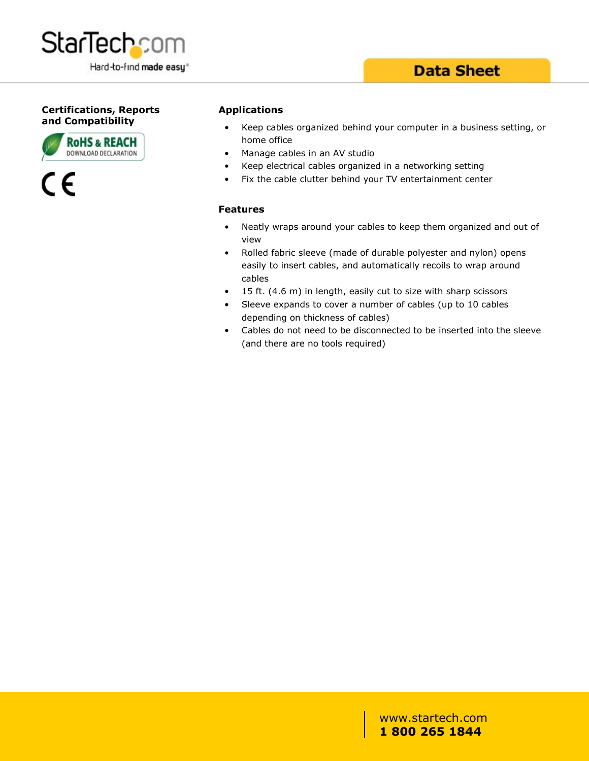

# **Data Sheet**

#### **Certifications, Reports and Compatibility**





#### **Applications**

- Keep cables organized behind your computer in a business setting, or home office
- Manage cables in an AV studio
- Keep electrical cables organized in a networking setting
- Fix the cable clutter behind your TV entertainment center

#### **Features**

- Neatly wraps around your cables to keep them organized and out of view
- Rolled fabric sleeve (made of durable polyester and nylon) opens easily to insert cables, and automatically recoils to wrap around cables
- 15 ft. (4.6 m) in length, easily cut to size with sharp scissors
- Sleeve expands to cover a number of cables (up to 10 cables depending on thickness of cables)
- Cables do not need to be disconnected to be inserted into the sleeve (and there are no tools required)

www.startech.com **1 800 265 1844**